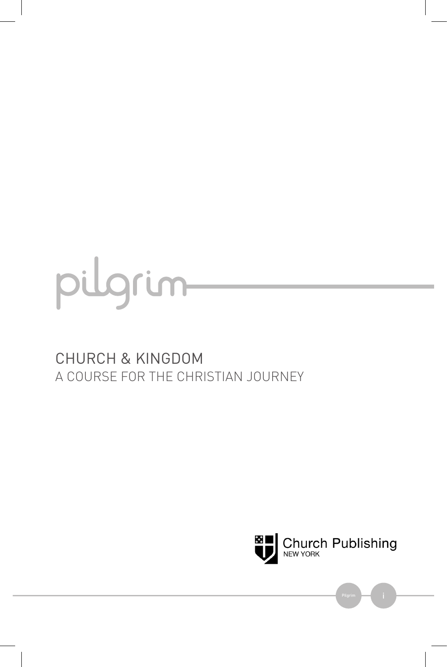

### CHURCH & KINGDOM A COURSE FOR THE CHRISTIAN JOURNEY



Pilgrim **in the contract of the contract**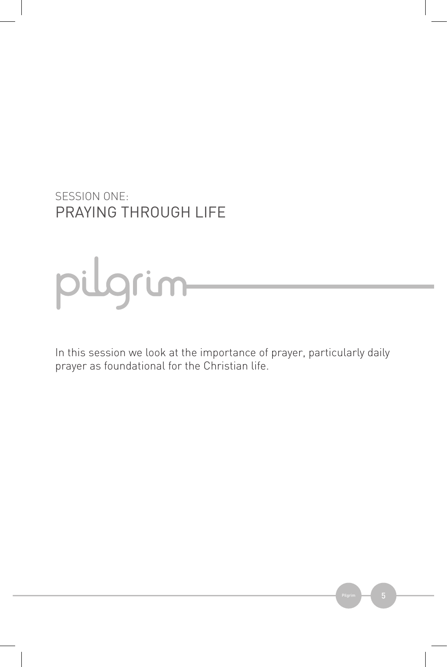SESSION ONE: PRAYING THROUGH LIFE

# pulgrum

In this session we look at the importance of prayer, particularly daily prayer as foundational for the Christian life.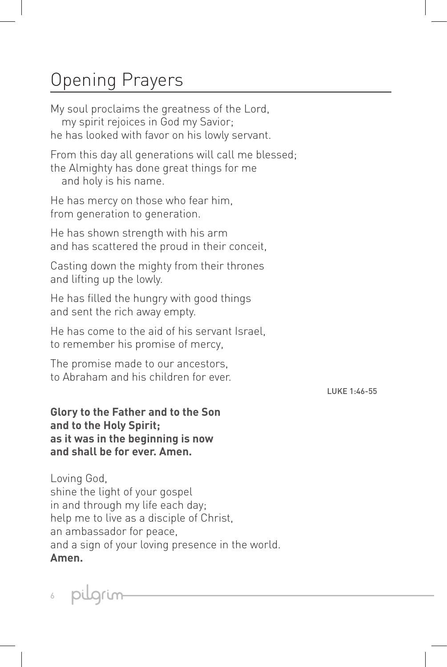## Opening Prayers

My soul proclaims the greatness of the Lord, my spirit rejoices in God my Savior; he has looked with favor on his lowly servant.

From this day all generations will call me blessed; the Almighty has done great things for me and holy is his name.

He has mercy on those who fear him, from generation to generation.

He has shown strength with his arm and has scattered the proud in their conceit,

Casting down the mighty from their thrones and lifting up the lowly.

He has filled the hungry with good things and sent the rich away empty.

He has come to the aid of his servant Israel, to remember his promise of mercy,

The promise made to our ancestors, to Abraham and his children for ever.

LUKE 1:46-55

**Glory to the Father and to the Son and to the Holy Spirit; as it was in the beginning is now and shall be for ever. Amen.**

Loving God, shine the light of your gospel in and through my life each day; help me to live as a disciple of Christ, an ambassador for peace, and a sign of your loving presence in the world. **Amen.**

puarum 6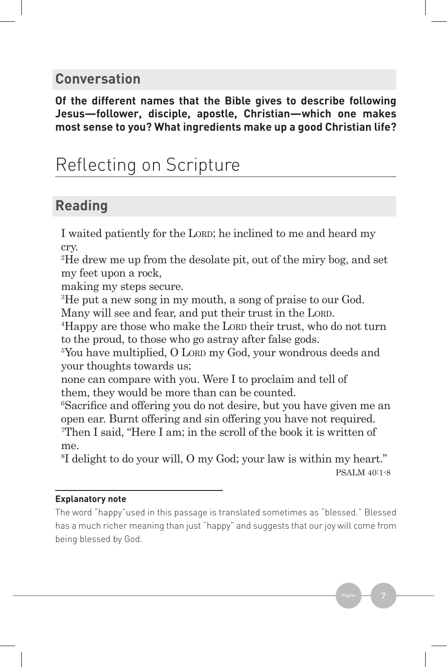#### **Conversation**

**Of the different names that the Bible gives to describe following Jesus—follower, disciple, apostle, Christian—which one makes most sense to you? What ingredients make up a good Christian life?** 

## Reflecting on Scripture

### **Reading**

I waited patiently for the LORD; he inclined to me and heard my cry.

2 He drew me up from the desolate pit, out of the miry bog, and set my feet upon a rock,

making my steps secure.

3 He put a new song in my mouth, a song of praise to our God.

Many will see and fear, and put their trust in the LORD.

<sup>4</sup>Happy are those who make the Lorp their trust, who do not turn to the proud, to those who go astray after false gods.

<sup>5</sup>You have multiplied, O Lorp my God, your wondrous deeds and your thoughts towards us;

none can compare with you. Were I to proclaim and tell of them, they would be more than can be counted.

6 Sacrifice and offering you do not desire, but you have given me an open ear. Burnt offering and sin offering you have not required. 7 Then I said, "Here I am; in the scroll of the book it is written of me.

8 I delight to do your will, O my God; your law is within my heart." PSALM 40:1-8

#### **Explanatory note**

The word "happy"used in this passage is translated sometimes as "blessed." Blessed has a much richer meaning than just "happy" and suggests that our joy will come from being blessed by God.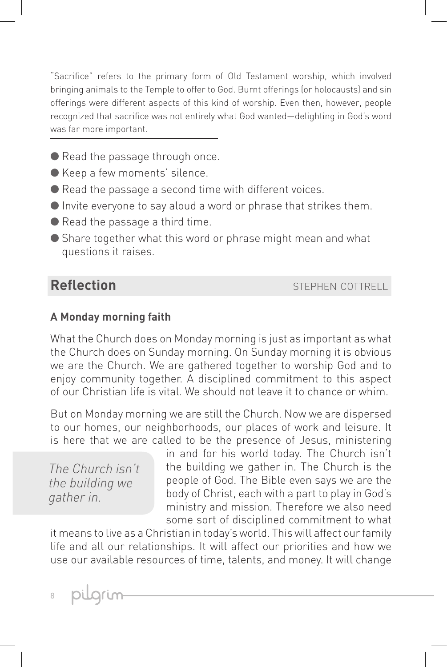"Sacrifice" refers to the primary form of Old Testament worship, which involved bringing animals to the Temple to offer to God. Burnt offerings (or holocausts) and sin offerings were different aspects of this kind of worship. Even then, however, people recognized that sacrifice was not entirely what God wanted—delighting in God's word was far more important.

- Read the passage through once.
- Keep a few moments' silence.
- Read the passage a second time with different voices.
- Invite everyone to say aloud a word or phrase that strikes them.
- Read the passage a third time.
- Share together what this word or phrase might mean and what questions it raises.

**Reflection** stephen cottrell

#### **A Monday morning faith**

What the Church does on Monday morning is just as important as what the Church does on Sunday morning. On Sunday morning it is obvious we are the Church. We are gathered together to worship God and to enjoy community together. A disciplined commitment to this aspect of our Christian life is vital. We should not leave it to chance or whim.

But on Monday morning we are still the Church. Now we are dispersed to our homes, our neighborhoods, our places of work and leisure. It is here that we are called to be the presence of Jesus, ministering

*The Church isn't the building we gather in.*

in and for his world today. The Church isn't the building we gather in. The Church is the people of God. The Bible even says we are the body of Christ, each with a part to play in God's ministry and mission. Therefore we also need some sort of disciplined commitment to what

it means to live as a Christian in today's world. This will affect our family life and all our relationships. It will affect our priorities and how we use our available resources of time, talents, and money. It will change

pulgrum

8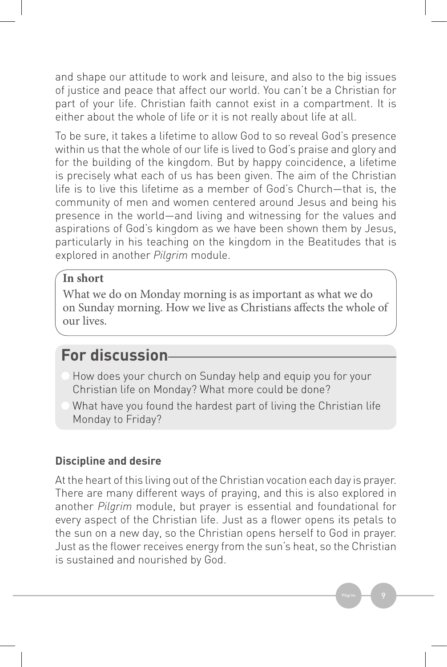and shape our attitude to work and leisure, and also to the big issues of justice and peace that affect our world. You can't be a Christian for part of your life. Christian faith cannot exist in a compartment. It is either about the whole of life or it is not really about life at all.

To be sure, it takes a lifetime to allow God to so reveal God's presence within us that the whole of our life is lived to God's praise and glory and for the building of the kingdom. But by happy coincidence, a lifetime is precisely what each of us has been given. The aim of the Christian life is to live this lifetime as a member of God's Church—that is, the community of men and women centered around Jesus and being his presence in the world—and living and witnessing for the values and aspirations of God's kingdom as we have been shown them by Jesus, particularly in his teaching on the kingdom in the Beatitudes that is explored in another *Pilgrim* module.

#### **In short**

What we do on Monday morning is as important as what we do on Sunday morning. How we live as Christians affects the whole of our lives.

## **For discussion**

- How does your church on Sunday help and equip you for your Christian life on Monday? What more could be done?
- What have you found the hardest part of living the Christian life Monday to Friday?

#### **Discipline and desire**

At the heart of this living out of the Christian vocation each day is prayer. There are many different ways of praying, and this is also explored in another *Pilgrim* module, but prayer is essential and foundational for every aspect of the Christian life. Just as a flower opens its petals to the sun on a new day, so the Christian opens herself to God in prayer. Just as the flower receives energy from the sun's heat, so the Christian is sustained and nourished by God.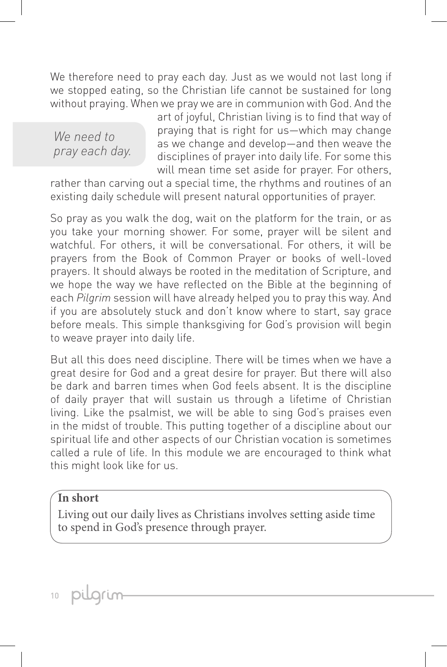We therefore need to pray each day. Just as we would not last long if we stopped eating, so the Christian life cannot be sustained for long without praying. When we pray we are in communion with God. And the

*We need to pray each day.* art of joyful, Christian living is to find that way of praying that is right for us—which may change as we change and develop—and then weave the disciplines of prayer into daily life. For some this will mean time set aside for prayer. For others,

rather than carving out a special time, the rhythms and routines of an existing daily schedule will present natural opportunities of prayer.

So pray as you walk the dog, wait on the platform for the train, or as you take your morning shower. For some, prayer will be silent and watchful. For others, it will be conversational. For others, it will be prayers from the Book of Common Prayer or books of well-loved prayers. It should always be rooted in the meditation of Scripture, and we hope the way we have reflected on the Bible at the beginning of each *Pilgrim* session will have already helped you to pray this way. And if you are absolutely stuck and don't know where to start, say grace before meals. This simple thanksgiving for God's provision will begin to weave prayer into daily life.

But all this does need discipline. There will be times when we have a great desire for God and a great desire for prayer. But there will also be dark and barren times when God feels absent. It is the discipline of daily prayer that will sustain us through a lifetime of Christian living. Like the psalmist, we will be able to sing God's praises even in the midst of trouble. This putting together of a discipline about our spiritual life and other aspects of our Christian vocation is sometimes called a rule of life. In this module we are encouraged to think what this might look like for us.

#### **In short**

Living out our daily lives as Christians involves setting aside time to spend in God's presence through prayer.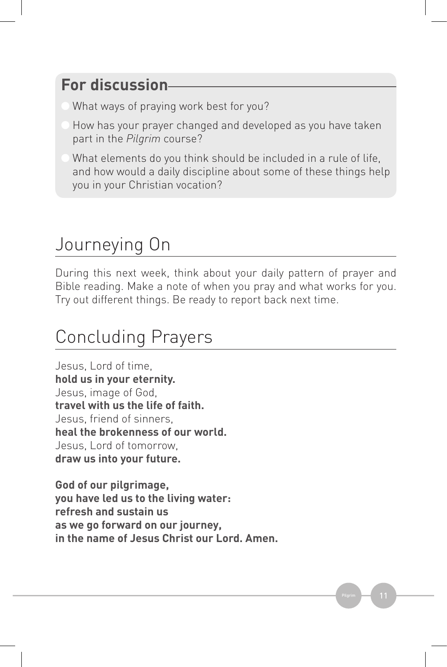## **For discussion**

- What ways of praying work best for you?
- How has your prayer changed and developed as you have taken part in the *Pilgrim* course?
- What elements do you think should be included in a rule of life, and how would a daily discipline about some of these things help you in your Christian vocation?

## Journeying On

During this next week, think about your daily pattern of prayer and Bible reading. Make a note of when you pray and what works for you. Try out different things. Be ready to report back next time.

## Concluding Prayers

Jesus, Lord of time, **hold us in your eternity.** Jesus, image of God, **travel with us the life of faith.** Jesus, friend of sinners, **heal the brokenness of our world.** Jesus, Lord of tomorrow, **draw us into your future.**

**God of our pilgrimage, you have led us to the living water: refresh and sustain us as we go forward on our journey, in the name of Jesus Christ our Lord. Amen.**